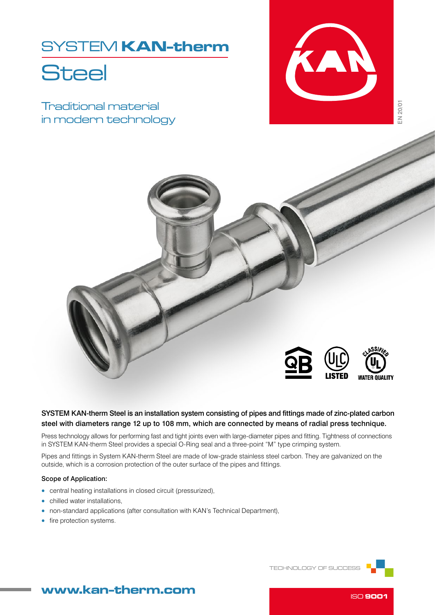## SYSTEM KAN-therm

# **Steel**

Traditional material in modern technology





## SYSTEM KAN-therm Steel is an installation system consisting of pipes and fittings made of zinc-plated carbon steel with diameters range 12 up to 108 mm, which are connected by means of radial press technique.

Press technology allows for performing fast and tight joints even with large-diameter pipes and fitting. Tightness of connections in SYSTEM KAN-therm Steel provides a special O-Ring seal and a three-point "M" type crimping system.

Pipes and fittings in System KAN-therm Steel are made of low-grade stainless steel carbon. They are galvanized on the outside, which is a corrosion protection of the outer surface of the pipes and fittings.

### Scope of Application:

- central heating installations in closed circuit (pressurized),
- chilled water installations,
- non-standard applications (after consultation with KAN's Technical Department),
- fire protection systems.

TECHNOLOGY OF SUCCESS



## www.kan-therm.com